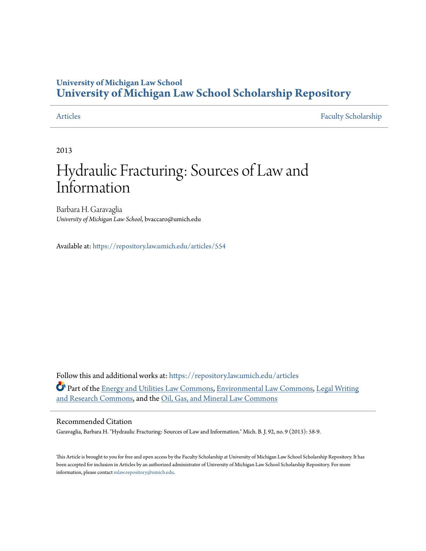## **University of Michigan Law School [University of Michigan Law School Scholarship Repository](https://repository.law.umich.edu?utm_source=repository.law.umich.edu%2Farticles%2F554&utm_medium=PDF&utm_campaign=PDFCoverPages)**

[Articles](https://repository.law.umich.edu/articles?utm_source=repository.law.umich.edu%2Farticles%2F554&utm_medium=PDF&utm_campaign=PDFCoverPages) [Faculty Scholarship](https://repository.law.umich.edu/faculty_scholarship?utm_source=repository.law.umich.edu%2Farticles%2F554&utm_medium=PDF&utm_campaign=PDFCoverPages)

2013

# Hydraulic Fracturing: Sources of Law and Information

Barbara H. Garavaglia *University of Michigan Law School*, bvaccaro@umich.edu

Available at: <https://repository.law.umich.edu/articles/554>

Follow this and additional works at: [https://repository.law.umich.edu/articles](https://repository.law.umich.edu/articles?utm_source=repository.law.umich.edu%2Farticles%2F554&utm_medium=PDF&utm_campaign=PDFCoverPages) Part of the [Energy and Utilities Law Commons,](http://network.bepress.com/hgg/discipline/891?utm_source=repository.law.umich.edu%2Farticles%2F554&utm_medium=PDF&utm_campaign=PDFCoverPages) [Environmental Law Commons,](http://network.bepress.com/hgg/discipline/599?utm_source=repository.law.umich.edu%2Farticles%2F554&utm_medium=PDF&utm_campaign=PDFCoverPages) [Legal Writing](http://network.bepress.com/hgg/discipline/614?utm_source=repository.law.umich.edu%2Farticles%2F554&utm_medium=PDF&utm_campaign=PDFCoverPages) [and Research Commons](http://network.bepress.com/hgg/discipline/614?utm_source=repository.law.umich.edu%2Farticles%2F554&utm_medium=PDF&utm_campaign=PDFCoverPages), and the [Oil, Gas, and Mineral Law Commons](http://network.bepress.com/hgg/discipline/864?utm_source=repository.law.umich.edu%2Farticles%2F554&utm_medium=PDF&utm_campaign=PDFCoverPages)

### Recommended Citation

Garavaglia, Barbara H. "Hydraulic Fracturing: Sources of Law and Information." Mich. B. J. 92, no. 9 (2013): 58-9.

This Article is brought to you for free and open access by the Faculty Scholarship at University of Michigan Law School Scholarship Repository. It has been accepted for inclusion in Articles by an authorized administrator of University of Michigan Law School Scholarship Repository. For more information, please contact [mlaw.repository@umich.edu.](mailto:mlaw.repository@umich.edu)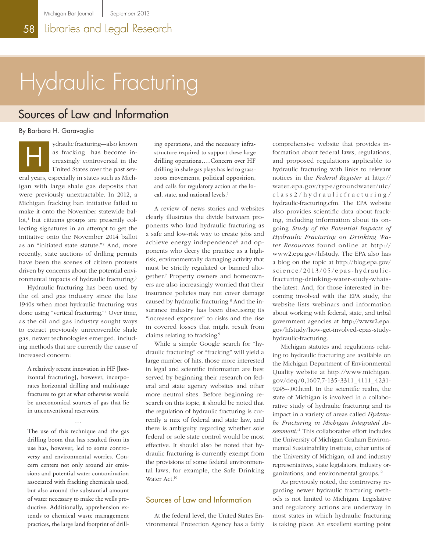# Hydraulic Fracturing

# Sources of Law and Information

By Barbara H. Garavaglia

ydraulic fracturing—also known as fracking—has become increasingly controversial in the United States over the past several years, especially in states such as Michigan with large shale gas deposits that were previously unextractable. In 2012, a Michigan fracking ban initiative failed to make it onto the November statewide ballot,<sup>1</sup> but citizens groups are presently collecting signatures in an attempt to get the initiative onto the November 2014 ballot as an "initiated state statute."2 And, more recently, state auctions of drilling permits have been the scenes of citizen protests driven by concerns about the potential environmental impacts of hydraulic fracturing.3 H

Hydraulic fracturing has been used by the oil and gas industry since the late 1940s when most hydraulic fracturing was done using "vertical fracturing."4 Over time, as the oil and gas industry sought ways to extract previously unrecoverable shale gas, newer technologies emerged, including methods that are currently the cause of increased concern:

A relatively recent innovation in HF [horizontal fracturing], however, incorporates horizontal drilling and multistage fractures to get at what otherwise would be uneconomical sources of gas that lie in unconventional reservoirs.

...

The use of this technique and the gas drilling boom that has resulted from its use has, however, led to some controversy and environmental worries. Concern centers not only around air emissions and potential water contamination associated with fracking chemicals used, but also around the substantial amount of water necessary to make the wells productive. Additionally, apprehension extends to chemical waste management practices, the large land footprint of drilling operations, and the necessary infrastructure required to support these large drilling operations....Concern over HF drilling in shale gas plays has led to grassroots movements, political opposition, and calls for regulatory action at the local, state, and national levels.<sup>5</sup>

A review of news stories and websites clearly illustrates the divide between proponents who laud hydraulic fracturing as a safe and low-risk way to create jobs and achieve energy independence $^6$  and opponents who decry the practice as a highrisk, environmentally damaging activity that must be strictly regulated or banned altogether.7 Property owners and homeowners are also increasingly worried that their insurance policies may not cover damage caused by hydraulic fracturing.<sup>8</sup> And the insurance industry has been discussing its "increased exposure" to risks and the rise in covered losses that might result from claims relating to fracking.9

While a simple Google search for "hydraulic fracturing" or "fracking" will yield a large number of hits, those more interested in legal and scientific information are best served by beginning their research on federal and state agency websites and other more neutral sites. Before beginning research on this topic, it should be noted that the regulation of hydraulic fracturing is currently a mix of federal and state law, and there is ambiguity regarding whether sole federal or sole state control would be most effective. It should also be noted that hydraulic fracturing is currently exempt from the provisions of some federal environmental laws, for example, the Safe Drinking Water Act.<sup>10</sup>

### Sources of Law and Information

At the federal level, the United States Environmental Protection Agency has a fairly comprehensive website that provides information about federal laws, regulations, and proposed regulations applicable to hydraulic fracturing with links to relevant notices in the *Federal Register* at [http://](http://water.epa.gov/type/groundwater/uic/class2/hydraulicfracturing/hydraulic-fracturing.cfm) [water.epa.gov/type/groundwater/uic/](http://water.epa.gov/type/groundwater/uic/class2/hydraulicfracturing/hydraulic-fracturing.cfm) [class2/hydraulicfracturing/](http://water.epa.gov/type/groundwater/uic/class2/hydraulicfracturing/hydraulic-fracturing.cfm) [hydraulic-fracturing.cfm](http://water.epa.gov/type/groundwater/uic/class2/hydraulicfracturing/hydraulic-fracturing.cfm). The EPA website also provides scientific data about fracking, including information about its ongoing *Study of the Potential Impacts of Hydraulic Fracturing on Drinking Water Resources* found online at http:// www2.epa.gov/hfstudy. The EPA also has a blog on the topic at [http://blog.epa.gov/](http://blog.epa.gov/science/2013/05/epas-hydraulic-fracturing-drinking-water-study-whats-the-latest) [science/2013/05/epas](http://blog.epa.gov/science/2013/05/epas-hydraulic-fracturing-drinking-water-study-whats-the-latest) - hydraulic [fracturing-drinking-water-study-whats](http://blog.epa.gov/science/2013/05/epas-hydraulic-fracturing-drinking-water-study-whats-the-latest)[the-latest](http://blog.epa.gov/science/2013/05/epas-hydraulic-fracturing-drinking-water-study-whats-the-latest). And, for those interested in becoming involved with the EPA study, the website lists webinars and information about working with federal, state, and tribal government agencies at [http://www2.epa.](http://www2.epa.gov/hfstudy/how-get-involved-epas-study-hydraulic-fracturing) [gov/hfstudy/how-get-involved-epas-study](http://www2.epa.gov/hfstudy/how-get-involved-epas-study-hydraulic-fracturing)[hydraulic-fracturing.](http://www2.epa.gov/hfstudy/how-get-involved-epas-study-hydraulic-fracturing)

Michigan statutes and regulations relating to hydraulic fracturing are available on the Michigan Department of Environmental Quality website at [http://www.michigan.](http://www.michigan.gov/deq/0,1607,7-135-3311_4111_4231-9245--,00.html) [gov/deq/0,1607,7-135-3311\\_4111\\_4231-](http://www.michigan.gov/deq/0,1607,7-135-3311_4111_4231-9245--,00.html)[9245--,00.html](http://www.michigan.gov/deq/0,1607,7-135-3311_4111_4231-9245--,00.html). In the scientific realm, the state of Michigan is involved in a collaborative study of hydraulic fracturing and its impact in a variety of areas called *Hydraulic Fracturing in Michigan Integrated Assessment*. 11 This collaborative effort includes the University of Michigan Graham Environmental Sustainability Institute, other units of the University of Michigan, oil and industry representatives, state legislators, industry organizations, and environmental groups.12

As previously noted, the controversy regarding newer hydraulic fracturing methods is not limited to Michigan. Legislative and regulatory actions are underway in most states in which hydraulic fracturing is taking place. An excellent starting point